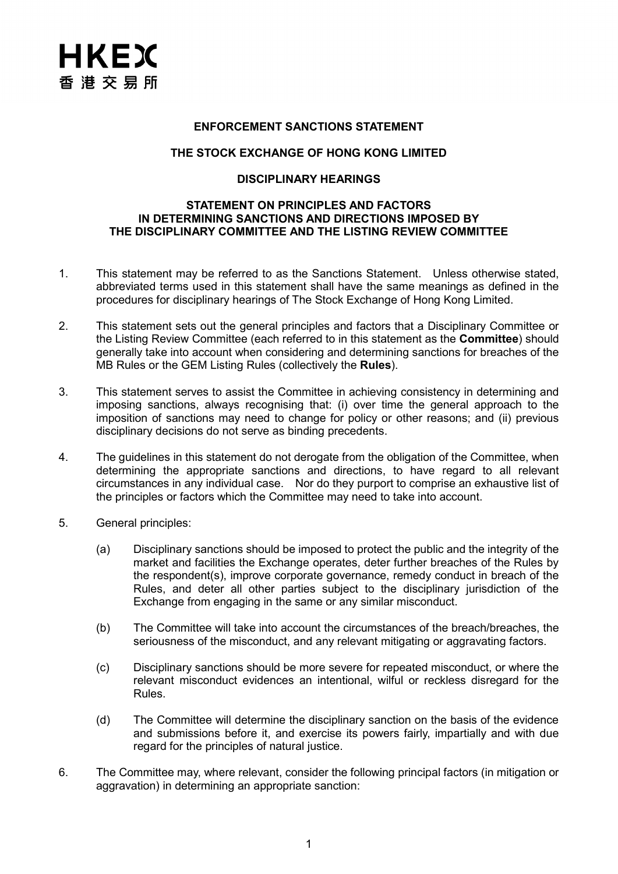#### **ENFORCEMENT SANCTIONS STATEMENT**

## **THE STOCK EXCHANGE OF HONG KONG LIMITED**

## **DISCIPLINARY HEARINGS**

#### **STATEMENT ON PRINCIPLES AND FACTORS IN DETERMINING SANCTIONS AND DIRECTIONS IMPOSED BY THE DISCIPLINARY COMMITTEE AND THE LISTING REVIEW COMMITTEE**

- 1. This statement may be referred to as the Sanctions Statement. Unless otherwise stated, abbreviated terms used in this statement shall have the same meanings as defined in the procedures for disciplinary hearings of The Stock Exchange of Hong Kong Limited.
- 2. This statement sets out the general principles and factors that a Disciplinary Committee or the Listing Review Committee (each referred to in this statement as the **Committee**) should generally take into account when considering and determining sanctions for breaches of the MB Rules or the GEM Listing Rules (collectively the **Rules**).
- 3. This statement serves to assist the Committee in achieving consistency in determining and imposing sanctions, always recognising that: (i) over time the general approach to the imposition of sanctions may need to change for policy or other reasons; and (ii) previous disciplinary decisions do not serve as binding precedents.
- 4. The guidelines in this statement do not derogate from the obligation of the Committee, when determining the appropriate sanctions and directions, to have regard to all relevant circumstances in any individual case. Nor do they purport to comprise an exhaustive list of the principles or factors which the Committee may need to take into account.
- 5. General principles:
	- (a) Disciplinary sanctions should be imposed to protect the public and the integrity of the market and facilities the Exchange operates, deter further breaches of the Rules by the respondent(s), improve corporate governance, remedy conduct in breach of the Rules, and deter all other parties subject to the disciplinary jurisdiction of the Exchange from engaging in the same or any similar misconduct.
	- (b) The Committee will take into account the circumstances of the breach/breaches, the seriousness of the misconduct, and any relevant mitigating or aggravating factors.
	- (c) Disciplinary sanctions should be more severe for repeated misconduct, or where the relevant misconduct evidences an intentional, wilful or reckless disregard for the Rules.
	- (d) The Committee will determine the disciplinary sanction on the basis of the evidence and submissions before it, and exercise its powers fairly, impartially and with due regard for the principles of natural justice.
- 6. The Committee may, where relevant, consider the following principal factors (in mitigation or aggravation) in determining an appropriate sanction: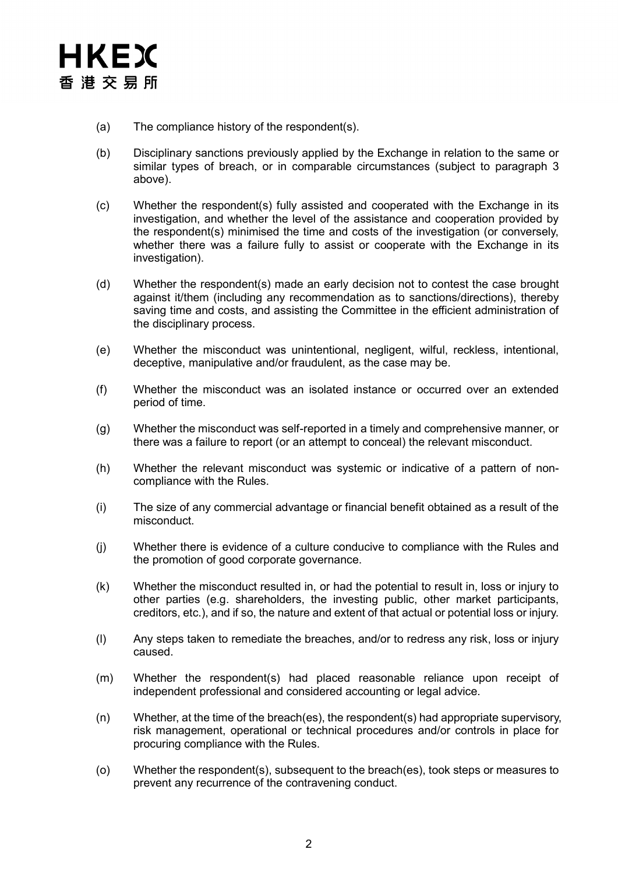

- (a) The compliance history of the respondent(s).
- (b) Disciplinary sanctions previously applied by the Exchange in relation to the same or similar types of breach, or in comparable circumstances (subject to paragraph 3 above).
- (c) Whether the respondent(s) fully assisted and cooperated with the Exchange in its investigation, and whether the level of the assistance and cooperation provided by the respondent(s) minimised the time and costs of the investigation (or conversely, whether there was a failure fully to assist or cooperate with the Exchange in its investigation).
- (d) Whether the respondent(s) made an early decision not to contest the case brought against it/them (including any recommendation as to sanctions/directions), thereby saving time and costs, and assisting the Committee in the efficient administration of the disciplinary process.
- (e) Whether the misconduct was unintentional, negligent, wilful, reckless, intentional, deceptive, manipulative and/or fraudulent, as the case may be.
- (f) Whether the misconduct was an isolated instance or occurred over an extended period of time.
- (g) Whether the misconduct was self-reported in a timely and comprehensive manner, or there was a failure to report (or an attempt to conceal) the relevant misconduct.
- (h) Whether the relevant misconduct was systemic or indicative of a pattern of noncompliance with the Rules.
- (i) The size of any commercial advantage or financial benefit obtained as a result of the misconduct.
- (j) Whether there is evidence of a culture conducive to compliance with the Rules and the promotion of good corporate governance.
- (k) Whether the misconduct resulted in, or had the potential to result in, loss or injury to other parties (e.g. shareholders, the investing public, other market participants, creditors, etc.), and if so, the nature and extent of that actual or potential loss or injury.
- (l) Any steps taken to remediate the breaches, and/or to redress any risk, loss or injury caused.
- (m) Whether the respondent(s) had placed reasonable reliance upon receipt of independent professional and considered accounting or legal advice.
- (n) Whether, at the time of the breach(es), the respondent(s) had appropriate supervisory, risk management, operational or technical procedures and/or controls in place for procuring compliance with the Rules.
- (o) Whether the respondent(s), subsequent to the breach(es), took steps or measures to prevent any recurrence of the contravening conduct.